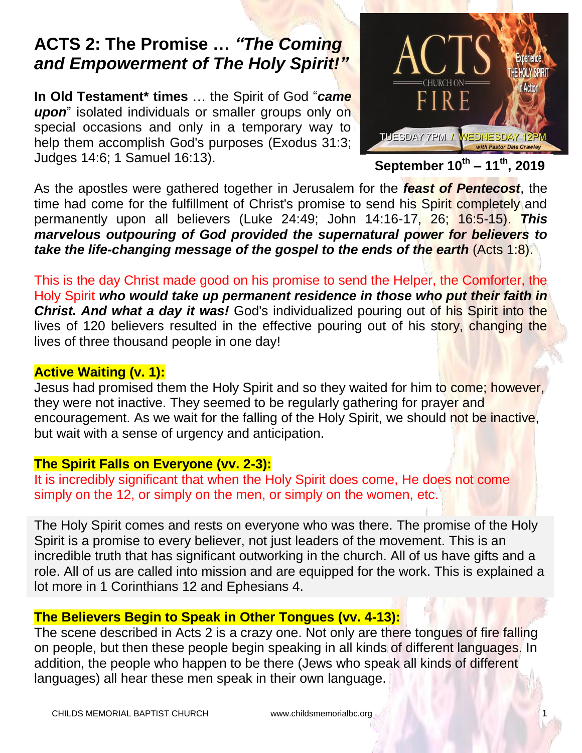# **ACTS 2: The Promise …** *"The Coming and Empowerment of The Holy Spirit!"*

**In Old Testament\* times** … the Spirit of God "*came upon*" isolated individuals or smaller groups only on special occasions and only in a temporary way to help them accomplish God's purposes (Exodus 31:3; Judges 14:6; 1 Samuel 16:13).



**September 10th – 11th, 2019**

As the apostles were gathered together in Jerusalem for the *feast of Pentecost*, the time had come for the fulfillment of Christ's promise to send his Spirit completely and permanently upon all believers (Luke 24:49; John 14:16-17, 26; 16:5-15). *This marvelous outpouring of God provided the supernatural power for believers to take the life-changing message of the gospel to the ends of the earth* (Acts 1:8).

This is the day Christ made good on his promise to send the Helper, the Comforter, the Holy Spirit *who would take up permanent residence in those who put their faith in Christ. And what a day it was!* God's individualized pouring out of his Spirit into the lives of 120 believers resulted in the effective pouring out of his story, changing the lives of three thousand people in one day!

## **Active Waiting (v. 1):**

Jesus had promised them the Holy Spirit and so they waited for him to come; however, they were not inactive. They seemed to be regularly gathering for prayer and encouragement. As we wait for the falling of the Holy Spirit, we should not be inactive, but wait with a sense of urgency and anticipation.

### **The Spirit Falls on Everyone (vv. 2-3):**

It is incredibly significant that when the Holy Spirit does come, He does not come simply on the 12, or simply on the men, or simply on the women, etc.

The Holy Spirit comes and rests on everyone who was there. The promise of the Holy Spirit is a promise to every believer, not just leaders of the movement. This is an incredible truth that has significant outworking in the church. All of us have gifts and a role. All of us are called into mission and are equipped for the work. This is explained a lot more in 1 Corinthians 12 and Ephesians 4.

### **The Believers Begin to Speak in Other Tongues (vv. 4-13):**

The scene described in Acts 2 is a crazy one. Not only are there tongues of fire falling on people, but then these people begin speaking in all kinds of different languages. In addition, the people who happen to be there (Jews who speak all kinds of different languages) all hear these men speak in their own language.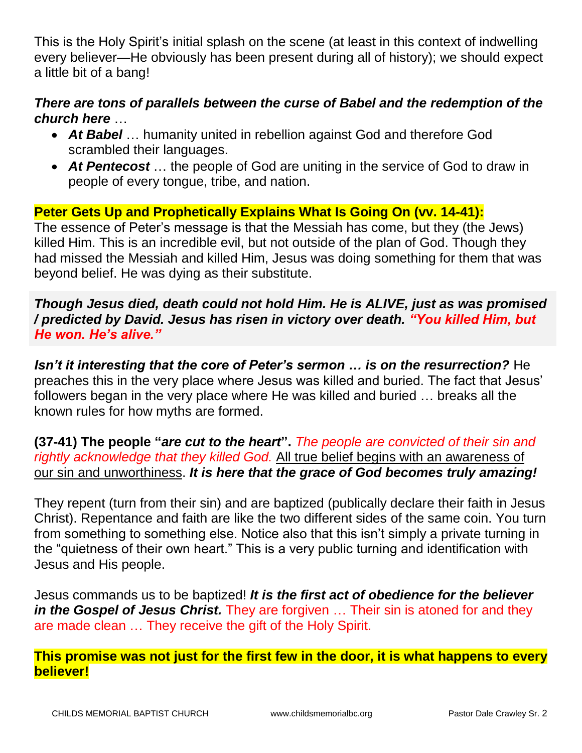This is the Holy Spirit's initial splash on the scene (at least in this context of indwelling every believer—He obviously has been present during all of history); we should expect a little bit of a bang!

#### *There are tons of parallels between the curse of Babel and the redemption of the church here* …

- *At Babel* … humanity united in rebellion against God and therefore God scrambled their languages.
- *At Pentecost* … the people of God are uniting in the service of God to draw in people of every tongue, tribe, and nation.

# **Peter Gets Up and Prophetically Explains What Is Going On (vv. 14-41):**

The essence of Peter's message is that the Messiah has come, but they (the Jews) killed Him. This is an incredible evil, but not outside of the plan of God. Though they had missed the Messiah and killed Him, Jesus was doing something for them that was beyond belief. He was dying as their substitute.

*Though Jesus died, death could not hold Him. He is ALIVE, just as was promised / predicted by David. Jesus has risen in victory over death. "You killed Him, but He won. He's alive."* 

*Isn't it interesting that the core of Peter's sermon … is on the resurrection?* He preaches this in the very place where Jesus was killed and buried. The fact that Jesus' followers began in the very place where He was killed and buried … breaks all the known rules for how myths are formed.

**(37-41) The people "***are cut to the heart***".** *The people are convicted of their sin and rightly acknowledge that they killed God.* All true belief begins with an awareness of our sin and unworthiness. *It is here that the grace of God becomes truly amazing!*

They repent (turn from their sin) and are baptized (publically declare their faith in Jesus Christ). Repentance and faith are like the two different sides of the same coin. You turn from something to something else. Notice also that this isn't simply a private turning in the "quietness of their own heart." This is a very public turning and identification with Jesus and His people.

Jesus commands us to be baptized! *It is the first act of obedience for the believer in the Gospel of Jesus Christ.* They are forgiven … Their sin is atoned for and they are made clean … They receive the gift of the Holy Spirit.

**This promise was not just for the first few in the door, it is what happens to every believer!**